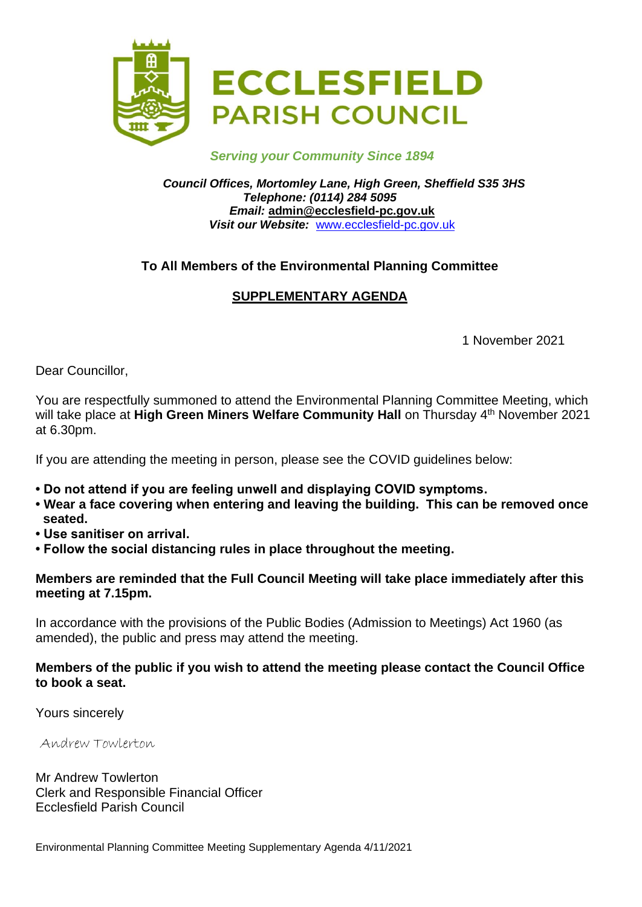

## *Serving your Community Since 1894*

#### *Council Offices, Mortomley Lane, High Green, Sheffield S35 3HS Telephone: (0114) 284 5095 Email:* **admin@ecclesfield-pc.gov.uk** *Visit our Website:* [www.ecclesfield-pc.gov.uk](http://www.ecclesfield-pc.gov.uk/)

# **To All Members of the Environmental Planning Committee**

# **SUPPLEMENTARY AGENDA**

1 November 2021

Dear Councillor,

You are respectfully summoned to attend the Environmental Planning Committee Meeting, which will take place at Hi**gh Green Miners Welfare Community Hall** on Thursday 4<sup>th</sup> November 2021 at 6.30pm.

If you are attending the meeting in person, please see the COVID guidelines below:

- **Do not attend if you are feeling unwell and displaying COVID symptoms.**
- **Wear a face covering when entering and leaving the building. This can be removed once seated.**
- **Use sanitiser on arrival.**
- **Follow the social distancing rules in place throughout the meeting.**

#### **Members are reminded that the Full Council Meeting will take place immediately after this meeting at 7.15pm.**

In accordance with the provisions of the Public Bodies (Admission to Meetings) Act 1960 (as amended), the public and press may attend the meeting.

# **Members of the public if you wish to attend the meeting please contact the Council Office to book a seat.**

Yours sincerely

Andrew Towlerton

Mr Andrew Towlerton Clerk and Responsible Financial Officer Ecclesfield Parish Council

Environmental Planning Committee Meeting Supplementary Agenda 4/11/2021